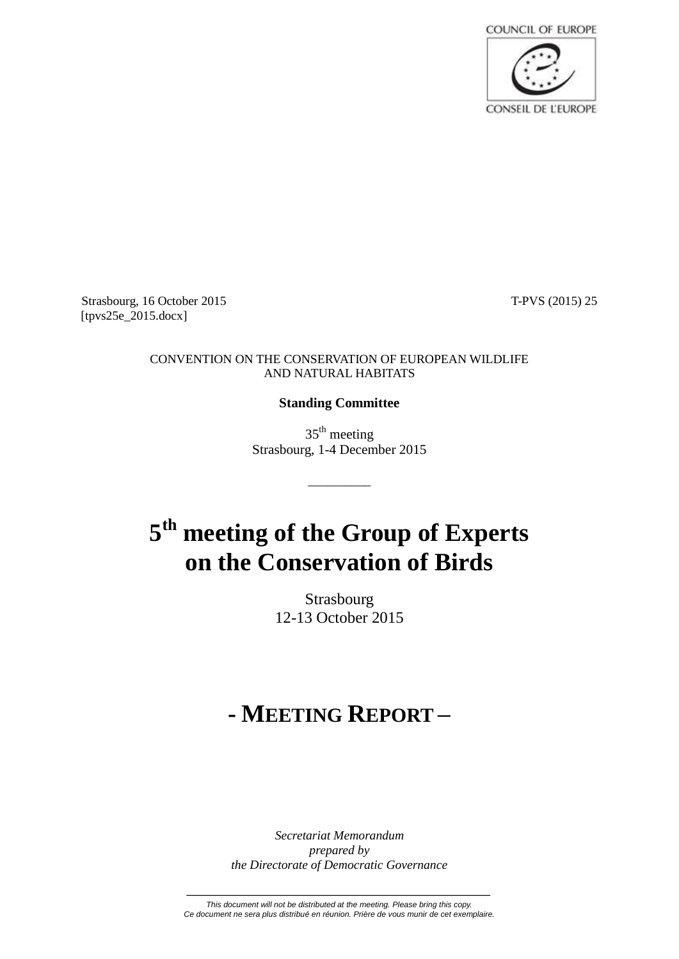

Strasbourg, 16 October 2015 T-PVS (2015) 25 [tpvs25e\_2015.docx]

### CONVENTION ON THE CONSERVATION OF EUROPEAN WILDLIFE AND NATURAL HABITATS

# **Standing Committee**

 $35<sup>th</sup>$  meeting Strasbourg, 1-4 December 2015

\_\_\_\_\_\_\_\_\_\_

# **5 th meeting of the Group of Experts on the Conservation of Birds**

Strasbourg 12-13 October 2015

# **- MEETING REPORT –**

*Secretariat Memorandum prepared by the Directorate of Democratic Governance*

*This document will not be distributed at the meeting. Please bring this copy. Ce document ne sera plus distribué en réunion. Prière de vous munir de cet exemplaire.*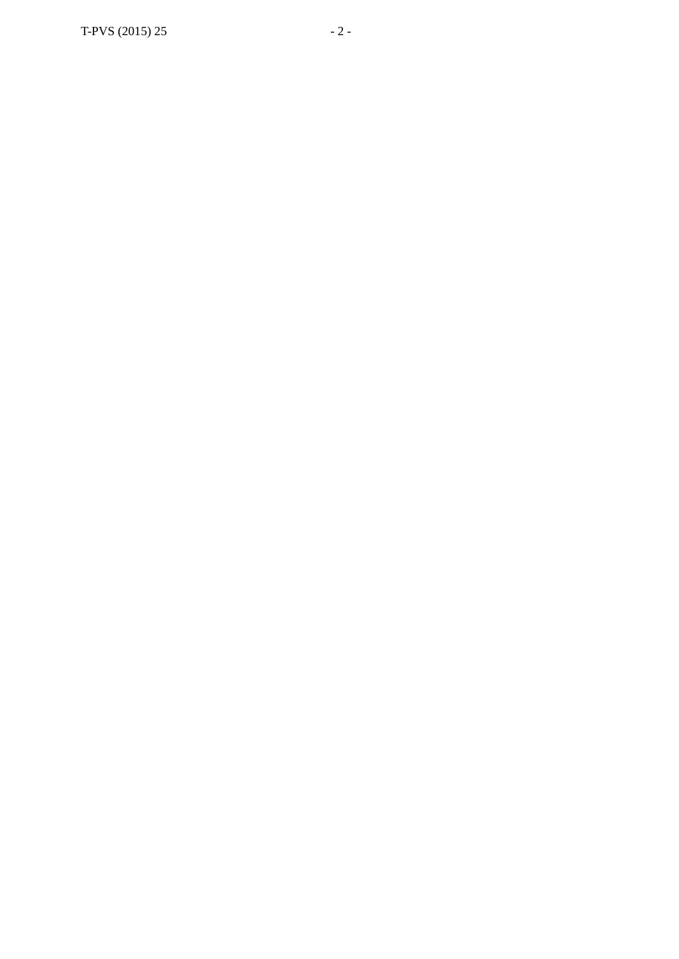T-PVS (2015) 25  $-2$  -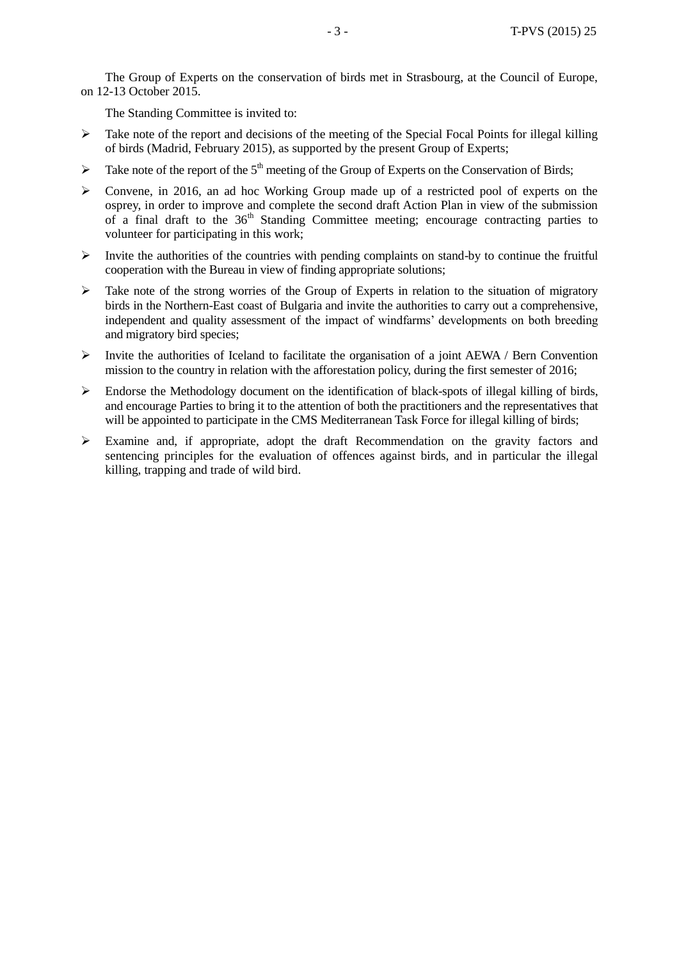The Group of Experts on the conservation of birds met in Strasbourg, at the Council of Europe, on 12-13 October 2015.

The Standing Committee is invited to:

- $\triangleright$  Take note of the report and decisions of the meeting of the Special Focal Points for illegal killing of birds (Madrid, February 2015), as supported by the present Group of Experts;
- $\triangleright$  Take note of the report of the 5<sup>th</sup> meeting of the Group of Experts on the Conservation of Birds;
- Convene, in 2016, an ad hoc Working Group made up of a restricted pool of experts on the osprey, in order to improve and complete the second draft Action Plan in view of the submission of a final draft to the  $36<sup>th</sup>$  Standing Committee meeting; encourage contracting parties to volunteer for participating in this work;
- $\triangleright$  Invite the authorities of the countries with pending complaints on stand-by to continue the fruitful cooperation with the Bureau in view of finding appropriate solutions;
- $\triangleright$  Take note of the strong worries of the Group of Experts in relation to the situation of migratory birds in the Northern-East coast of Bulgaria and invite the authorities to carry out a comprehensive, independent and quality assessment of the impact of windfarms' developments on both breeding and migratory bird species;
- Invite the authorities of Iceland to facilitate the organisation of a joint AEWA / Bern Convention mission to the country in relation with the afforestation policy, during the first semester of 2016;
- Endorse the Methodology document on the identification of black-spots of illegal killing of birds, and encourage Parties to bring it to the attention of both the practitioners and the representatives that will be appointed to participate in the CMS Mediterranean Task Force for illegal killing of birds;
- Examine and, if appropriate, adopt the draft Recommendation on the gravity factors and sentencing principles for the evaluation of offences against birds, and in particular the illegal killing, trapping and trade of wild bird.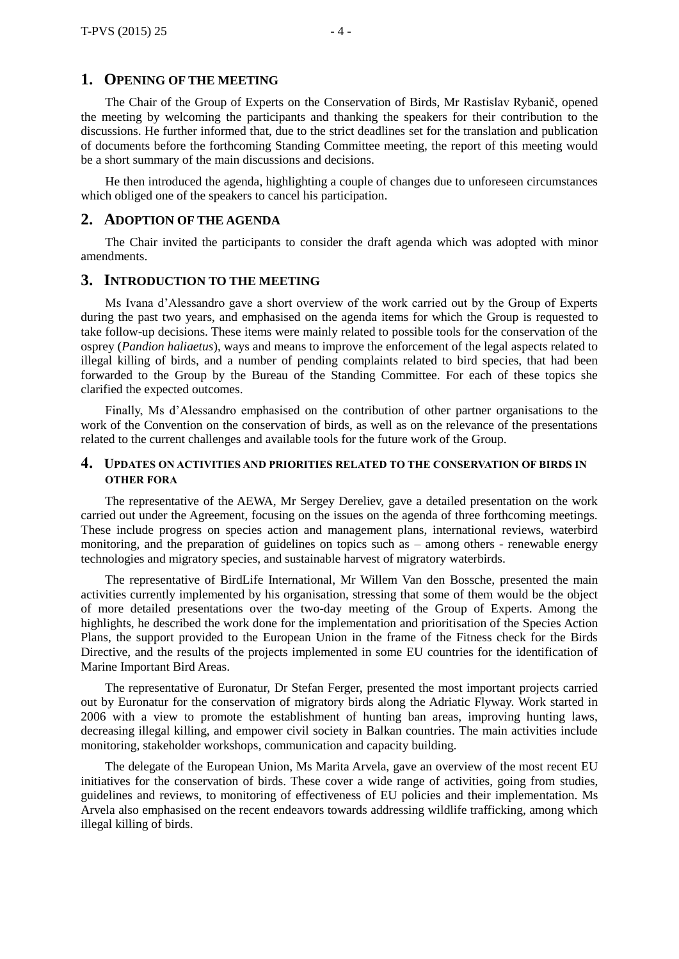# **1. OPENING OF THE MEETING**

The Chair of the Group of Experts on the Conservation of Birds, Mr Rastislav Rybanič, opened the meeting by welcoming the participants and thanking the speakers for their contribution to the discussions. He further informed that, due to the strict deadlines set for the translation and publication of documents before the forthcoming Standing Committee meeting, the report of this meeting would be a short summary of the main discussions and decisions.

He then introduced the agenda, highlighting a couple of changes due to unforeseen circumstances which obliged one of the speakers to cancel his participation.

### **2. ADOPTION OF THE AGENDA**

The Chair invited the participants to consider the draft agenda which was adopted with minor amendments.

#### **3. INTRODUCTION TO THE MEETING**

Ms Ivana d'Alessandro gave a short overview of the work carried out by the Group of Experts during the past two years, and emphasised on the agenda items for which the Group is requested to take follow-up decisions. These items were mainly related to possible tools for the conservation of the osprey (*Pandion haliaetus*), ways and means to improve the enforcement of the legal aspects related to illegal killing of birds, and a number of pending complaints related to bird species, that had been forwarded to the Group by the Bureau of the Standing Committee. For each of these topics she clarified the expected outcomes.

Finally, Ms d'Alessandro emphasised on the contribution of other partner organisations to the work of the Convention on the conservation of birds, as well as on the relevance of the presentations related to the current challenges and available tools for the future work of the Group.

#### **4. UPDATES ON ACTIVITIES AND PRIORITIES RELATED TO THE CONSERVATION OF BIRDS IN OTHER FORA**

The representative of the AEWA, Mr Sergey Dereliev, gave a detailed presentation on the work carried out under the Agreement, focusing on the issues on the agenda of three forthcoming meetings. These include progress on species action and management plans, international reviews, waterbird monitoring, and the preparation of guidelines on topics such as – among others - renewable energy technologies and migratory species, and sustainable harvest of migratory waterbirds.

The representative of BirdLife International, Mr Willem Van den Bossche, presented the main activities currently implemented by his organisation, stressing that some of them would be the object of more detailed presentations over the two-day meeting of the Group of Experts. Among the highlights, he described the work done for the implementation and prioritisation of the Species Action Plans, the support provided to the European Union in the frame of the Fitness check for the Birds Directive, and the results of the projects implemented in some EU countries for the identification of Marine Important Bird Areas.

The representative of Euronatur, Dr Stefan Ferger, presented the most important projects carried out by Euronatur for the conservation of migratory birds along the Adriatic Flyway. Work started in 2006 with a view to promote the establishment of hunting ban areas, improving hunting laws, decreasing illegal killing, and empower civil society in Balkan countries. The main activities include monitoring, stakeholder workshops, communication and capacity building.

The delegate of the European Union, Ms Marita Arvela, gave an overview of the most recent EU initiatives for the conservation of birds. These cover a wide range of activities, going from studies, guidelines and reviews, to monitoring of effectiveness of EU policies and their implementation. Ms Arvela also emphasised on the recent endeavors towards addressing wildlife trafficking, among which illegal killing of birds.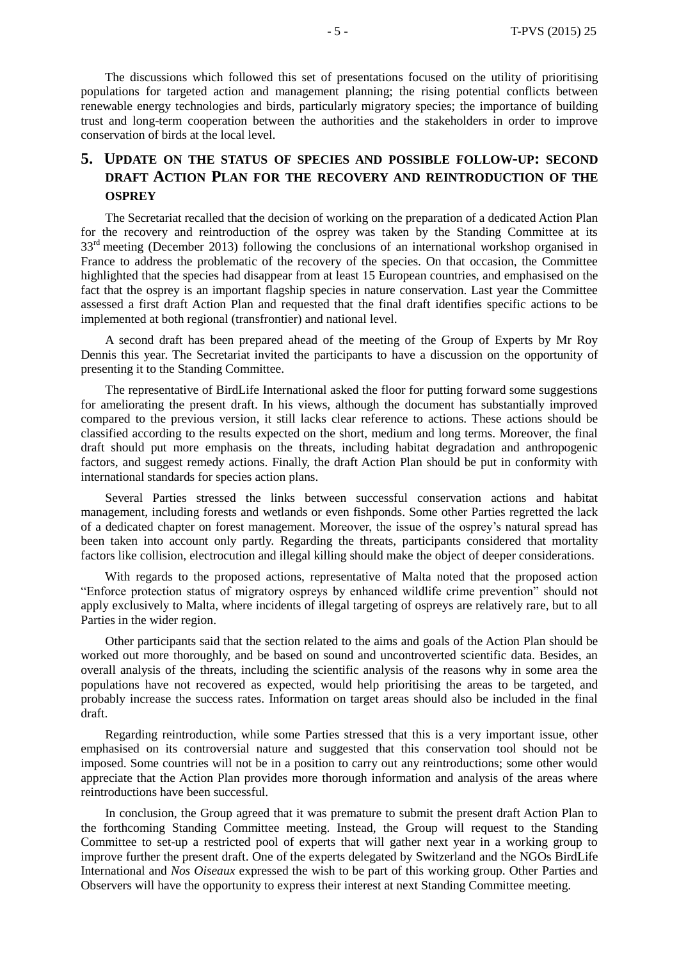The discussions which followed this set of presentations focused on the utility of prioritising populations for targeted action and management planning; the rising potential conflicts between renewable energy technologies and birds, particularly migratory species; the importance of building trust and long-term cooperation between the authorities and the stakeholders in order to improve conservation of birds at the local level.

# **5. UPDATE ON THE STATUS OF SPECIES AND POSSIBLE FOLLOW-UP: SECOND DRAFT ACTION PLAN FOR THE RECOVERY AND REINTRODUCTION OF THE OSPREY**

The Secretariat recalled that the decision of working on the preparation of a dedicated Action Plan for the recovery and reintroduction of the osprey was taken by the Standing Committee at its 33<sup>rd</sup> meeting (December 2013) following the conclusions of an international workshop organised in France to address the problematic of the recovery of the species. On that occasion, the Committee highlighted that the species had disappear from at least 15 European countries, and emphasised on the fact that the osprey is an important flagship species in nature conservation. Last year the Committee assessed a first draft Action Plan and requested that the final draft identifies specific actions to be implemented at both regional (transfrontier) and national level.

A second draft has been prepared ahead of the meeting of the Group of Experts by Mr Roy Dennis this year. The Secretariat invited the participants to have a discussion on the opportunity of presenting it to the Standing Committee.

The representative of BirdLife International asked the floor for putting forward some suggestions for ameliorating the present draft. In his views, although the document has substantially improved compared to the previous version, it still lacks clear reference to actions. These actions should be classified according to the results expected on the short, medium and long terms. Moreover, the final draft should put more emphasis on the threats, including habitat degradation and anthropogenic factors, and suggest remedy actions. Finally, the draft Action Plan should be put in conformity with international standards for species action plans.

Several Parties stressed the links between successful conservation actions and habitat management, including forests and wetlands or even fishponds. Some other Parties regretted the lack of a dedicated chapter on forest management. Moreover, the issue of the osprey's natural spread has been taken into account only partly. Regarding the threats, participants considered that mortality factors like collision, electrocution and illegal killing should make the object of deeper considerations.

With regards to the proposed actions, representative of Malta noted that the proposed action "Enforce protection status of migratory ospreys by enhanced wildlife crime prevention" should not apply exclusively to Malta, where incidents of illegal targeting of ospreys are relatively rare, but to all Parties in the wider region.

Other participants said that the section related to the aims and goals of the Action Plan should be worked out more thoroughly, and be based on sound and uncontroverted scientific data. Besides, an overall analysis of the threats, including the scientific analysis of the reasons why in some area the populations have not recovered as expected, would help prioritising the areas to be targeted, and probably increase the success rates. Information on target areas should also be included in the final draft.

Regarding reintroduction, while some Parties stressed that this is a very important issue, other emphasised on its controversial nature and suggested that this conservation tool should not be imposed. Some countries will not be in a position to carry out any reintroductions; some other would appreciate that the Action Plan provides more thorough information and analysis of the areas where reintroductions have been successful.

In conclusion, the Group agreed that it was premature to submit the present draft Action Plan to the forthcoming Standing Committee meeting. Instead, the Group will request to the Standing Committee to set-up a restricted pool of experts that will gather next year in a working group to improve further the present draft. One of the experts delegated by Switzerland and the NGOs BirdLife International and *Nos Oiseaux* expressed the wish to be part of this working group. Other Parties and Observers will have the opportunity to express their interest at next Standing Committee meeting.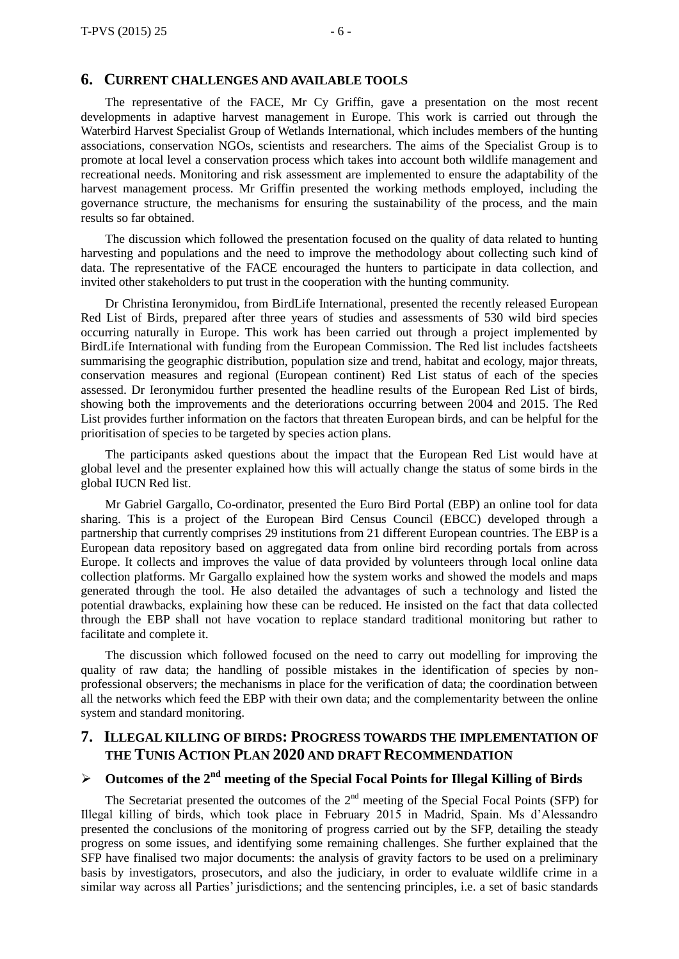# **6. CURRENT CHALLENGES AND AVAILABLE TOOLS**

The representative of the FACE, Mr Cy Griffin, gave a presentation on the most recent developments in adaptive harvest management in Europe. This work is carried out through the Waterbird Harvest Specialist Group of Wetlands International, which includes members of the hunting associations, conservation NGOs, scientists and researchers. The aims of the Specialist Group is to promote at local level a conservation process which takes into account both wildlife management and recreational needs. Monitoring and risk assessment are implemented to ensure the adaptability of the harvest management process. Mr Griffin presented the working methods employed, including the governance structure, the mechanisms for ensuring the sustainability of the process, and the main results so far obtained.

The discussion which followed the presentation focused on the quality of data related to hunting harvesting and populations and the need to improve the methodology about collecting such kind of data. The representative of the FACE encouraged the hunters to participate in data collection, and invited other stakeholders to put trust in the cooperation with the hunting community.

Dr Christina Ieronymidou, from BirdLife International, presented the recently released European Red List of Birds, prepared after three years of studies and assessments of 530 wild bird species occurring naturally in Europe. This work has been carried out through a project implemented by BirdLife International with funding from the European Commission. The Red list includes factsheets summarising the geographic distribution, population size and trend, habitat and ecology, major threats, conservation measures and regional (European continent) Red List status of each of the species assessed. Dr Ieronymidou further presented the headline results of the European Red List of birds, showing both the improvements and the deteriorations occurring between 2004 and 2015. The Red List provides further information on the factors that threaten European birds, and can be helpful for the prioritisation of species to be targeted by species action plans.

The participants asked questions about the impact that the European Red List would have at global level and the presenter explained how this will actually change the status of some birds in the global IUCN Red list.

Mr Gabriel Gargallo, Co-ordinator, presented the Euro Bird Portal (EBP) an online tool for data sharing. This is a project of the European Bird Census Council (EBCC) developed through a partnership that currently comprises 29 institutions from 21 different European countries. The EBP is a European data repository based on aggregated data from online bird recording portals from across Europe. It collects and improves the value of data provided by volunteers through local online data collection platforms. Mr Gargallo explained how the system works and showed the models and maps generated through the tool. He also detailed the advantages of such a technology and listed the potential drawbacks, explaining how these can be reduced. He insisted on the fact that data collected through the EBP shall not have vocation to replace standard traditional monitoring but rather to facilitate and complete it.

The discussion which followed focused on the need to carry out modelling for improving the quality of raw data; the handling of possible mistakes in the identification of species by nonprofessional observers; the mechanisms in place for the verification of data; the coordination between all the networks which feed the EBP with their own data; and the complementarity between the online system and standard monitoring.

# **7. ILLEGAL KILLING OF BIRDS: PROGRESS TOWARDS THE IMPLEMENTATION OF THE TUNIS ACTION PLAN 2020 AND DRAFT RECOMMENDATION**

# **Outcomes of the 2nd meeting of the Special Focal Points for Illegal Killing of Birds**

The Secretariat presented the outcomes of the  $2<sup>nd</sup>$  meeting of the Special Focal Points (SFP) for Illegal killing of birds, which took place in February 2015 in Madrid, Spain. Ms d'Alessandro presented the conclusions of the monitoring of progress carried out by the SFP, detailing the steady progress on some issues, and identifying some remaining challenges. She further explained that the SFP have finalised two major documents: the analysis of gravity factors to be used on a preliminary basis by investigators, prosecutors, and also the judiciary, in order to evaluate wildlife crime in a similar way across all Parties' jurisdictions; and the sentencing principles, i.e. a set of basic standards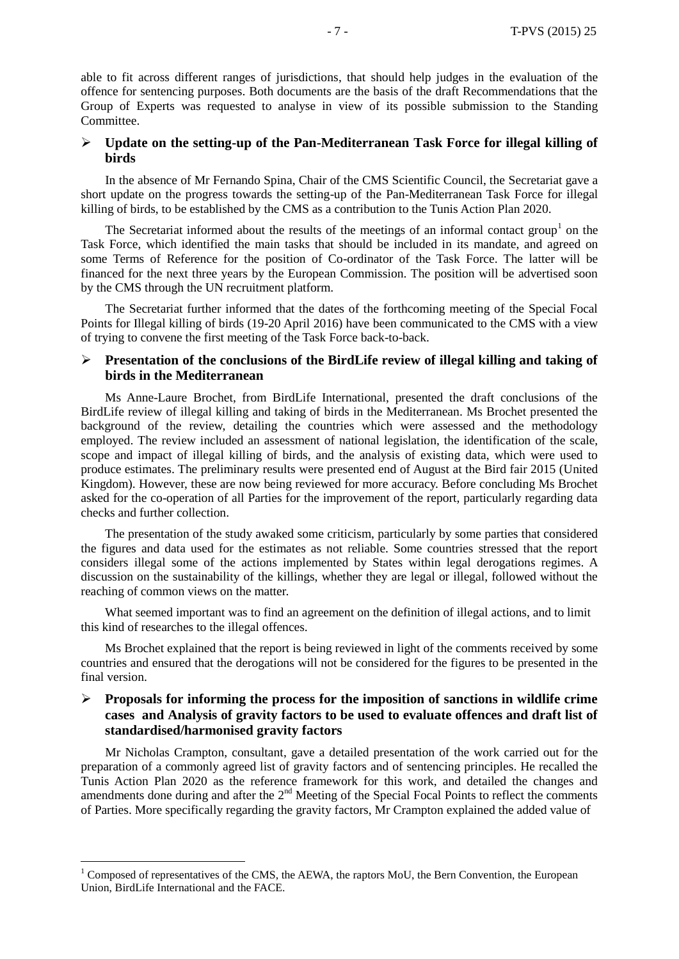able to fit across different ranges of jurisdictions, that should help judges in the evaluation of the offence for sentencing purposes. Both documents are the basis of the draft Recommendations that the Group of Experts was requested to analyse in view of its possible submission to the Standing Committee.

### **Update on the setting-up of the Pan-Mediterranean Task Force for illegal killing of birds**

In the absence of Mr Fernando Spina, Chair of the CMS Scientific Council, the Secretariat gave a short update on the progress towards the setting-up of the Pan-Mediterranean Task Force for illegal killing of birds, to be established by the CMS as a contribution to the Tunis Action Plan 2020.

The Secretariat informed about the results of the meetings of an informal contact group<sup>1</sup> on the Task Force, which identified the main tasks that should be included in its mandate, and agreed on some Terms of Reference for the position of Co-ordinator of the Task Force. The latter will be financed for the next three years by the European Commission. The position will be advertised soon by the CMS through the UN recruitment platform.

The Secretariat further informed that the dates of the forthcoming meeting of the Special Focal Points for Illegal killing of birds (19-20 April 2016) have been communicated to the CMS with a view of trying to convene the first meeting of the Task Force back-to-back.

#### **Presentation of the conclusions of the BirdLife review of illegal killing and taking of birds in the Mediterranean**

Ms Anne-Laure Brochet, from BirdLife International, presented the draft conclusions of the BirdLife review of illegal killing and taking of birds in the Mediterranean. Ms Brochet presented the background of the review, detailing the countries which were assessed and the methodology employed. The review included an assessment of national legislation, the identification of the scale, scope and impact of illegal killing of birds, and the analysis of existing data, which were used to produce estimates. The preliminary results were presented end of August at the Bird fair 2015 (United Kingdom). However, these are now being reviewed for more accuracy. Before concluding Ms Brochet asked for the co-operation of all Parties for the improvement of the report, particularly regarding data checks and further collection.

The presentation of the study awaked some criticism, particularly by some parties that considered the figures and data used for the estimates as not reliable. Some countries stressed that the report considers illegal some of the actions implemented by States within legal derogations regimes. A discussion on the sustainability of the killings, whether they are legal or illegal, followed without the reaching of common views on the matter.

What seemed important was to find an agreement on the definition of illegal actions, and to limit this kind of researches to the illegal offences.

Ms Brochet explained that the report is being reviewed in light of the comments received by some countries and ensured that the derogations will not be considered for the figures to be presented in the final version.

# **Proposals for informing the process for the imposition of sanctions in wildlife crime cases and Analysis of gravity factors to be used to evaluate offences and draft list of standardised/harmonised gravity factors**

Mr Nicholas Crampton, consultant, gave a detailed presentation of the work carried out for the preparation of a commonly agreed list of gravity factors and of sentencing principles. He recalled the Tunis Action Plan 2020 as the reference framework for this work, and detailed the changes and amendments done during and after the  $2<sup>nd</sup>$  Meeting of the Special Focal Points to reflect the comments of Parties. More specifically regarding the gravity factors, Mr Crampton explained the added value of

 $\overline{a}$ 

 $1$  Composed of representatives of the CMS, the AEWA, the raptors MoU, the Bern Convention, the European Union, BirdLife International and the FACE.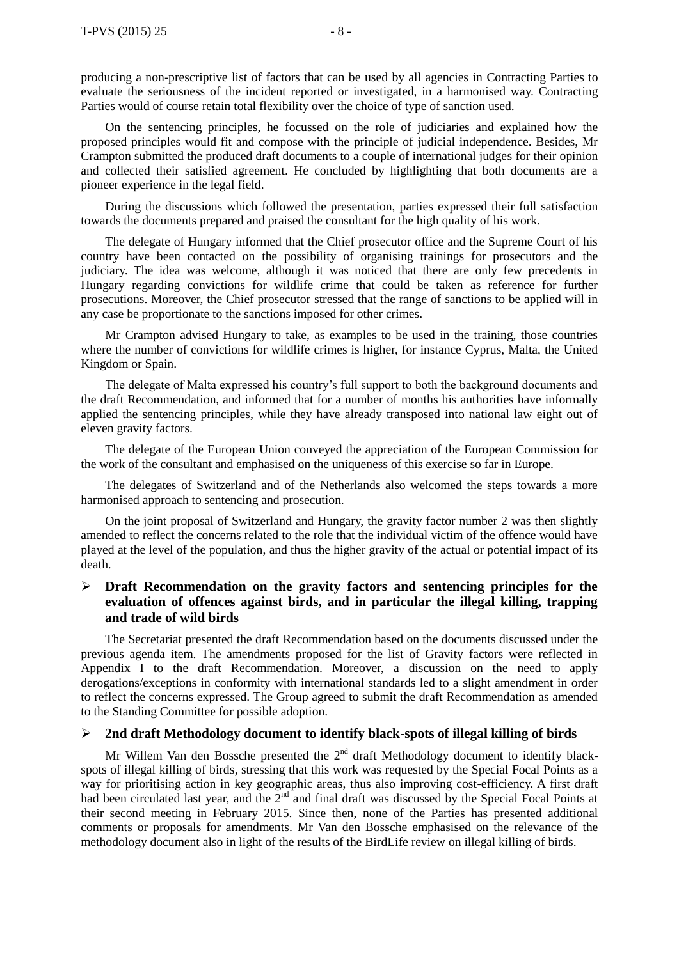On the sentencing principles, he focussed on the role of judiciaries and explained how the proposed principles would fit and compose with the principle of judicial independence. Besides, Mr Crampton submitted the produced draft documents to a couple of international judges for their opinion and collected their satisfied agreement. He concluded by highlighting that both documents are a pioneer experience in the legal field.

Parties would of course retain total flexibility over the choice of type of sanction used.

During the discussions which followed the presentation, parties expressed their full satisfaction towards the documents prepared and praised the consultant for the high quality of his work.

The delegate of Hungary informed that the Chief prosecutor office and the Supreme Court of his country have been contacted on the possibility of organising trainings for prosecutors and the judiciary. The idea was welcome, although it was noticed that there are only few precedents in Hungary regarding convictions for wildlife crime that could be taken as reference for further prosecutions. Moreover, the Chief prosecutor stressed that the range of sanctions to be applied will in any case be proportionate to the sanctions imposed for other crimes.

Mr Crampton advised Hungary to take, as examples to be used in the training, those countries where the number of convictions for wildlife crimes is higher, for instance Cyprus, Malta, the United Kingdom or Spain.

The delegate of Malta expressed his country's full support to both the background documents and the draft Recommendation, and informed that for a number of months his authorities have informally applied the sentencing principles, while they have already transposed into national law eight out of eleven gravity factors.

The delegate of the European Union conveyed the appreciation of the European Commission for the work of the consultant and emphasised on the uniqueness of this exercise so far in Europe.

The delegates of Switzerland and of the Netherlands also welcomed the steps towards a more harmonised approach to sentencing and prosecution.

On the joint proposal of Switzerland and Hungary, the gravity factor number 2 was then slightly amended to reflect the concerns related to the role that the individual victim of the offence would have played at the level of the population, and thus the higher gravity of the actual or potential impact of its death.

# **Draft Recommendation on the gravity factors and sentencing principles for the evaluation of offences against birds, and in particular the illegal killing, trapping and trade of wild birds**

The Secretariat presented the draft Recommendation based on the documents discussed under the previous agenda item. The amendments proposed for the list of Gravity factors were reflected in Appendix I to the draft Recommendation. Moreover, a discussion on the need to apply derogations/exceptions in conformity with international standards led to a slight amendment in order to reflect the concerns expressed. The Group agreed to submit the draft Recommendation as amended to the Standing Committee for possible adoption.

#### **2nd draft Methodology document to identify black-spots of illegal killing of birds**

Mr Willem Van den Bossche presented the  $2<sup>nd</sup>$  draft Methodology document to identify blackspots of illegal killing of birds, stressing that this work was requested by the Special Focal Points as a way for prioritising action in key geographic areas, thus also improving cost-efficiency. A first draft had been circulated last year, and the  $2<sup>nd</sup>$  and final draft was discussed by the Special Focal Points at their second meeting in February 2015. Since then, none of the Parties has presented additional comments or proposals for amendments. Mr Van den Bossche emphasised on the relevance of the methodology document also in light of the results of the BirdLife review on illegal killing of birds.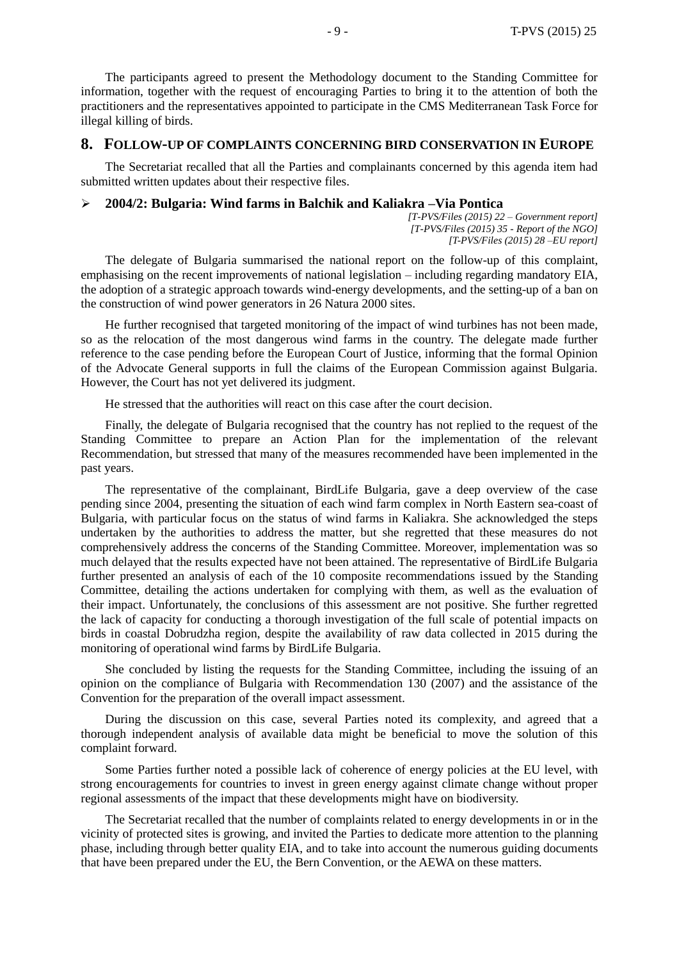The participants agreed to present the Methodology document to the Standing Committee for information, together with the request of encouraging Parties to bring it to the attention of both the practitioners and the representatives appointed to participate in the CMS Mediterranean Task Force for illegal killing of birds.

#### **8. FOLLOW-UP OF COMPLAINTS CONCERNING BIRD CONSERVATION IN EUROPE**

The Secretariat recalled that all the Parties and complainants concerned by this agenda item had submitted written updates about their respective files.

#### **2004/2: Bulgaria: Wind farms in Balchik and Kaliakra –Via Pontica**

*[T-PVS/Files (2015) 22 – Government report] [T-PVS/Files (2015) 35 - Report of the NGO] [T-PVS/Files (2015) 28 –EU report]*

The delegate of Bulgaria summarised the national report on the follow-up of this complaint, emphasising on the recent improvements of national legislation – including regarding mandatory EIA, the adoption of a strategic approach towards wind-energy developments, and the setting-up of a ban on the construction of wind power generators in 26 Natura 2000 sites.

He further recognised that targeted monitoring of the impact of wind turbines has not been made, so as the relocation of the most dangerous wind farms in the country. The delegate made further reference to the case pending before the European Court of Justice, informing that the formal Opinion of the Advocate General supports in full the claims of the European Commission against Bulgaria. However, the Court has not yet delivered its judgment.

He stressed that the authorities will react on this case after the court decision.

Finally, the delegate of Bulgaria recognised that the country has not replied to the request of the Standing Committee to prepare an Action Plan for the implementation of the relevant Recommendation, but stressed that many of the measures recommended have been implemented in the past years.

The representative of the complainant, BirdLife Bulgaria, gave a deep overview of the case pending since 2004, presenting the situation of each wind farm complex in North Eastern sea-coast of Bulgaria, with particular focus on the status of wind farms in Kaliakra. She acknowledged the steps undertaken by the authorities to address the matter, but she regretted that these measures do not comprehensively address the concerns of the Standing Committee. Moreover, implementation was so much delayed that the results expected have not been attained. The representative of BirdLife Bulgaria further presented an analysis of each of the 10 composite recommendations issued by the Standing Committee, detailing the actions undertaken for complying with them, as well as the evaluation of their impact. Unfortunately, the conclusions of this assessment are not positive. She further regretted the lack of capacity for conducting a thorough investigation of the full scale of potential impacts on birds in coastal Dobrudzha region, despite the availability of raw data collected in 2015 during the monitoring of operational wind farms by BirdLife Bulgaria.

She concluded by listing the requests for the Standing Committee, including the issuing of an opinion on the compliance of Bulgaria with Recommendation 130 (2007) and the assistance of the Convention for the preparation of the overall impact assessment.

During the discussion on this case, several Parties noted its complexity, and agreed that a thorough independent analysis of available data might be beneficial to move the solution of this complaint forward.

Some Parties further noted a possible lack of coherence of energy policies at the EU level, with strong encouragements for countries to invest in green energy against climate change without proper regional assessments of the impact that these developments might have on biodiversity.

The Secretariat recalled that the number of complaints related to energy developments in or in the vicinity of protected sites is growing, and invited the Parties to dedicate more attention to the planning phase, including through better quality EIA, and to take into account the numerous guiding documents that have been prepared under the EU, the Bern Convention, or the AEWA on these matters.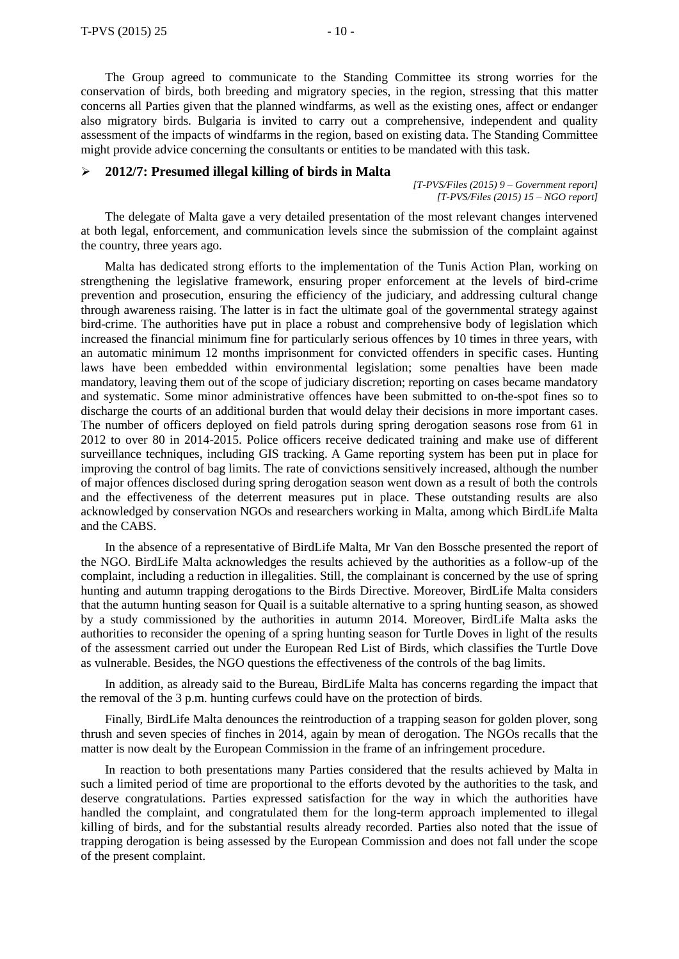The Group agreed to communicate to the Standing Committee its strong worries for the conservation of birds, both breeding and migratory species, in the region, stressing that this matter concerns all Parties given that the planned windfarms, as well as the existing ones, affect or endanger also migratory birds. Bulgaria is invited to carry out a comprehensive, independent and quality assessment of the impacts of windfarms in the region, based on existing data. The Standing Committee might provide advice concerning the consultants or entities to be mandated with this task.

#### **2012/7: Presumed illegal killing of birds in Malta**

*[T-PVS/Files (2015) 9 – Government report] [T-PVS/Files (2015) 15 – NGO report]*

The delegate of Malta gave a very detailed presentation of the most relevant changes intervened at both legal, enforcement, and communication levels since the submission of the complaint against the country, three years ago.

Malta has dedicated strong efforts to the implementation of the Tunis Action Plan, working on strengthening the legislative framework, ensuring proper enforcement at the levels of bird-crime prevention and prosecution, ensuring the efficiency of the judiciary, and addressing cultural change through awareness raising. The latter is in fact the ultimate goal of the governmental strategy against bird-crime. The authorities have put in place a robust and comprehensive body of legislation which increased the financial minimum fine for particularly serious offences by 10 times in three years, with an automatic minimum 12 months imprisonment for convicted offenders in specific cases. Hunting laws have been embedded within environmental legislation; some penalties have been made mandatory, leaving them out of the scope of judiciary discretion; reporting on cases became mandatory and systematic. Some minor administrative offences have been submitted to on-the-spot fines so to discharge the courts of an additional burden that would delay their decisions in more important cases. The number of officers deployed on field patrols during spring derogation seasons rose from 61 in 2012 to over 80 in 2014-2015. Police officers receive dedicated training and make use of different surveillance techniques, including GIS tracking. A Game reporting system has been put in place for improving the control of bag limits. The rate of convictions sensitively increased, although the number of major offences disclosed during spring derogation season went down as a result of both the controls and the effectiveness of the deterrent measures put in place. These outstanding results are also acknowledged by conservation NGOs and researchers working in Malta, among which BirdLife Malta and the CABS.

In the absence of a representative of BirdLife Malta, Mr Van den Bossche presented the report of the NGO. BirdLife Malta acknowledges the results achieved by the authorities as a follow-up of the complaint, including a reduction in illegalities. Still, the complainant is concerned by the use of spring hunting and autumn trapping derogations to the Birds Directive. Moreover, BirdLife Malta considers that the autumn hunting season for Quail is a suitable alternative to a spring hunting season, as showed by a study commissioned by the authorities in autumn 2014. Moreover, BirdLife Malta asks the authorities to reconsider the opening of a spring hunting season for Turtle Doves in light of the results of the assessment carried out under the European Red List of Birds, which classifies the Turtle Dove as vulnerable. Besides, the NGO questions the effectiveness of the controls of the bag limits.

In addition, as already said to the Bureau, BirdLife Malta has concerns regarding the impact that the removal of the 3 p.m. hunting curfews could have on the protection of birds.

Finally, BirdLife Malta denounces the reintroduction of a trapping season for golden plover, song thrush and seven species of finches in 2014, again by mean of derogation. The NGOs recalls that the matter is now dealt by the European Commission in the frame of an infringement procedure.

In reaction to both presentations many Parties considered that the results achieved by Malta in such a limited period of time are proportional to the efforts devoted by the authorities to the task, and deserve congratulations. Parties expressed satisfaction for the way in which the authorities have handled the complaint, and congratulated them for the long-term approach implemented to illegal killing of birds, and for the substantial results already recorded. Parties also noted that the issue of trapping derogation is being assessed by the European Commission and does not fall under the scope of the present complaint.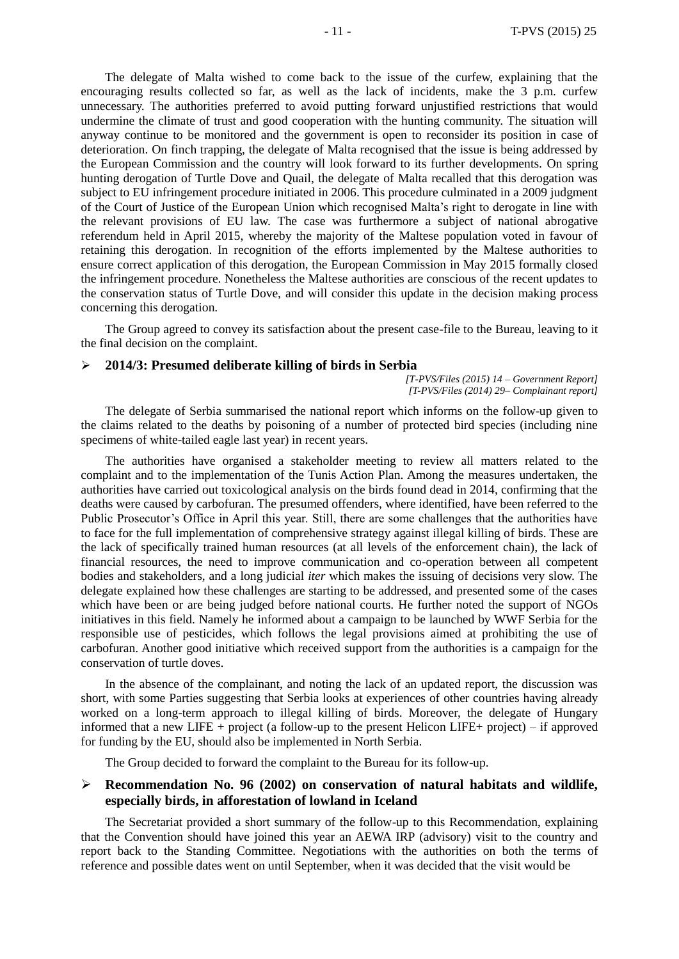The delegate of Malta wished to come back to the issue of the curfew, explaining that the encouraging results collected so far, as well as the lack of incidents, make the 3 p.m. curfew unnecessary. The authorities preferred to avoid putting forward unjustified restrictions that would undermine the climate of trust and good cooperation with the hunting community. The situation will anyway continue to be monitored and the government is open to reconsider its position in case of deterioration. On finch trapping, the delegate of Malta recognised that the issue is being addressed by the European Commission and the country will look forward to its further developments. On spring hunting derogation of Turtle Dove and Quail, the delegate of Malta recalled that this derogation was subject to EU infringement procedure initiated in 2006. This procedure culminated in a 2009 judgment of the Court of Justice of the European Union which recognised Malta's right to derogate in line with the relevant provisions of EU law. The case was furthermore a subject of national abrogative referendum held in April 2015, whereby the majority of the Maltese population voted in favour of retaining this derogation. In recognition of the efforts implemented by the Maltese authorities to ensure correct application of this derogation, the European Commission in May 2015 formally closed the infringement procedure. Nonetheless the Maltese authorities are conscious of the recent updates to the conservation status of Turtle Dove, and will consider this update in the decision making process concerning this derogation.

The Group agreed to convey its satisfaction about the present case-file to the Bureau, leaving to it the final decision on the complaint.

#### **2014/3: Presumed deliberate killing of birds in Serbia**

*[T-PVS/Files (2015) 14 – Government Report] [T-PVS/Files (2014) 29– Complainant report]*

The delegate of Serbia summarised the national report which informs on the follow-up given to the claims related to the deaths by poisoning of a number of protected bird species (including nine specimens of white-tailed eagle last year) in recent years.

The authorities have organised a stakeholder meeting to review all matters related to the complaint and to the implementation of the Tunis Action Plan. Among the measures undertaken, the authorities have carried out toxicological analysis on the birds found dead in 2014, confirming that the deaths were caused by carbofuran. The presumed offenders, where identified, have been referred to the Public Prosecutor's Office in April this year. Still, there are some challenges that the authorities have to face for the full implementation of comprehensive strategy against illegal killing of birds. These are the lack of specifically trained human resources (at all levels of the enforcement chain), the lack of financial resources, the need to improve communication and co-operation between all competent bodies and stakeholders, and a long judicial *iter* which makes the issuing of decisions very slow. The delegate explained how these challenges are starting to be addressed, and presented some of the cases which have been or are being judged before national courts. He further noted the support of NGOs initiatives in this field. Namely he informed about a campaign to be launched by WWF Serbia for the responsible use of pesticides, which follows the legal provisions aimed at prohibiting the use of carbofuran. Another good initiative which received support from the authorities is a campaign for the conservation of turtle doves.

In the absence of the complainant, and noting the lack of an updated report, the discussion was short, with some Parties suggesting that Serbia looks at experiences of other countries having already worked on a long-term approach to illegal killing of birds. Moreover, the delegate of Hungary informed that a new LIFE + project (a follow-up to the present Helicon LIFE+ project) – if approved for funding by the EU, should also be implemented in North Serbia.

The Group decided to forward the complaint to the Bureau for its follow-up.

# **Recommendation No. 96 (2002) on conservation of natural habitats and wildlife, especially birds, in afforestation of lowland in Iceland**

The Secretariat provided a short summary of the follow-up to this Recommendation, explaining that the Convention should have joined this year an AEWA IRP (advisory) visit to the country and report back to the Standing Committee. Negotiations with the authorities on both the terms of reference and possible dates went on until September, when it was decided that the visit would be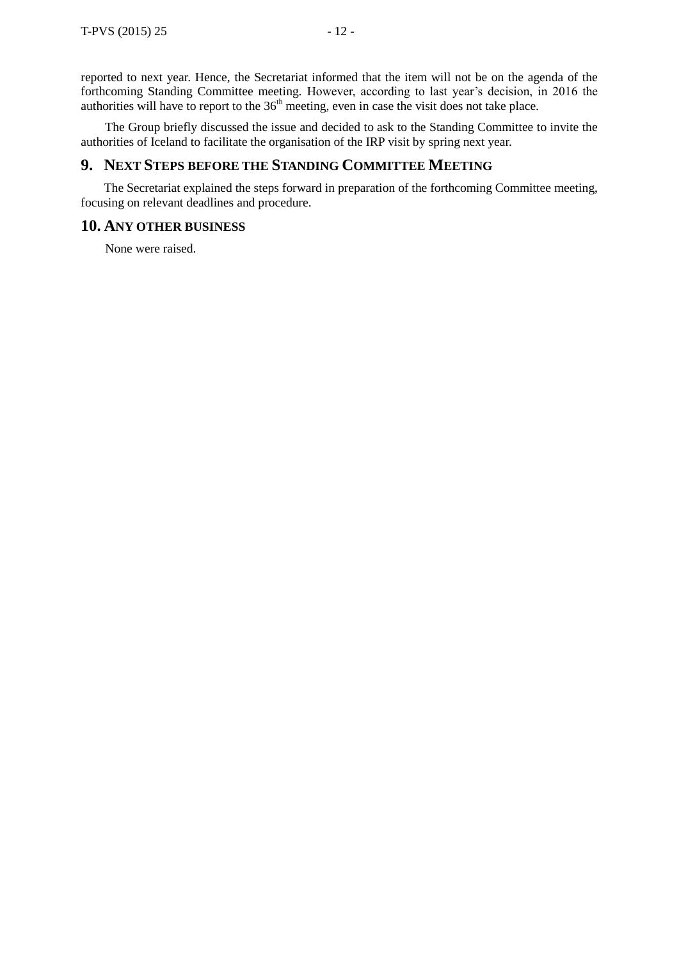reported to next year. Hence, the Secretariat informed that the item will not be on the agenda of the forthcoming Standing Committee meeting. However, according to last year's decision, in 2016 the authorities will have to report to the  $36<sup>th</sup>$  meeting, even in case the visit does not take place.

The Group briefly discussed the issue and decided to ask to the Standing Committee to invite the authorities of Iceland to facilitate the organisation of the IRP visit by spring next year.

# **9. NEXT STEPS BEFORE THE STANDING COMMITTEE MEETING**

The Secretariat explained the steps forward in preparation of the forthcoming Committee meeting, focusing on relevant deadlines and procedure.

#### **10. ANY OTHER BUSINESS**

None were raised.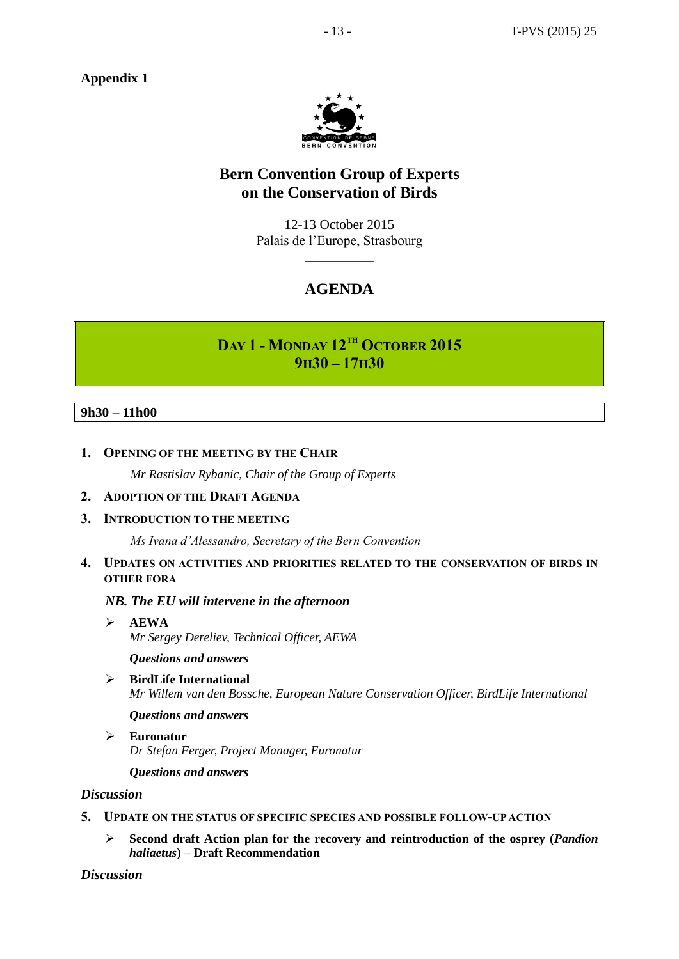# **Appendix 1**



# **Bern Convention Group of Experts on the Conservation of Birds**

12-13 October 2015 Palais de l'Europe, Strasbourg

\_\_\_\_\_\_\_\_\_\_

# **AGENDA**

# **DAY 1 - MONDAY 12TH OCTOBER 2015 9H30 – 17H30**

# **9h30 – 11h00**

# **1. OPENING OF THE MEETING BY THE CHAIR**

*Mr Rastislav Rybanic, Chair of the Group of Experts*

# **2. ADOPTION OF THE DRAFT AGENDA**

# **3. INTRODUCTION TO THE MEETING**

*Ms Ivana d'Alessandro, Secretary of the Bern Convention*

# **4. UPDATES ON ACTIVITIES AND PRIORITIES RELATED TO THE CONSERVATION OF BIRDS IN OTHER FORA**

# *NB. The EU will intervene in the afternoon*

- **AEWA** *Mr Sergey Dereliev, Technical Officer, AEWA Questions and answers*
- **BirdLife International** *Mr Willem van den Bossche, European Nature Conservation Officer, BirdLife International*

# *Questions and answers*

 **Euronatur** *Dr Stefan Ferger, Project Manager, Euronatur*

*Questions and answers*

# *Discussion*

- **5. UPDATE ON THE STATUS OF SPECIFIC SPECIES AND POSSIBLE FOLLOW-UP ACTION**
	- **Second draft Action plan for the recovery and reintroduction of the osprey (***Pandion haliaetus***) – Draft Recommendation**

*Discussion*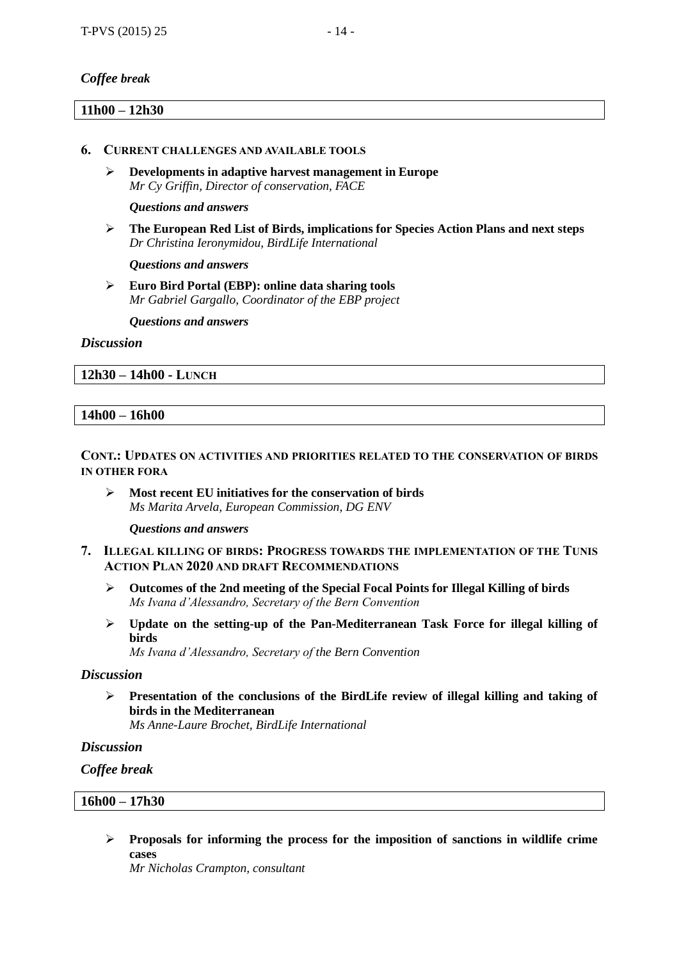# *Coffee break*

# **11h00 – 12h30**

### **6. CURRENT CHALLENGES AND AVAILABLE TOOLS**

 **Developments in adaptive harvest management in Europe**  *Mr Cy Griffin, Director of conservation, FACE*

*Questions and answers*

 **The European Red List of Birds, implications for Species Action Plans and next steps** *Dr Christina Ieronymidou, BirdLife International*

*Questions and answers*

 **Euro Bird Portal (EBP): online data sharing tools** *Mr Gabriel Gargallo, Coordinator of the EBP project*

*Questions and answers*

# *Discussion*

**12h30 – 14h00 - LUNCH**

# **14h00 – 16h00**

# **CONT.: UPDATES ON ACTIVITIES AND PRIORITIES RELATED TO THE CONSERVATION OF BIRDS IN OTHER FORA**

 **Most recent EU initiatives for the conservation of birds**  *Ms Marita Arvela, European Commission, DG ENV*

*Questions and answers*

- **7. ILLEGAL KILLING OF BIRDS: PROGRESS TOWARDS THE IMPLEMENTATION OF THE TUNIS ACTION PLAN 2020 AND DRAFT RECOMMENDATIONS**
	- **Outcomes of the 2nd meeting of the Special Focal Points for Illegal Killing of birds** *Ms Ivana d'Alessandro, Secretary of the Bern Convention*
	- **Update on the setting-up of the Pan-Mediterranean Task Force for illegal killing of birds**

*Ms Ivana d'Alessandro, Secretary of the Bern Convention*

#### *Discussion*

 **Presentation of the conclusions of the BirdLife review of illegal killing and taking of birds in the Mediterranean**

*Ms Anne-Laure Brochet, BirdLife International*

# *Discussion*

*Coffee break*

**16h00 – 17h30** 

 **Proposals for informing the process for the imposition of sanctions in wildlife crime cases** 

*Mr Nicholas Crampton, consultant*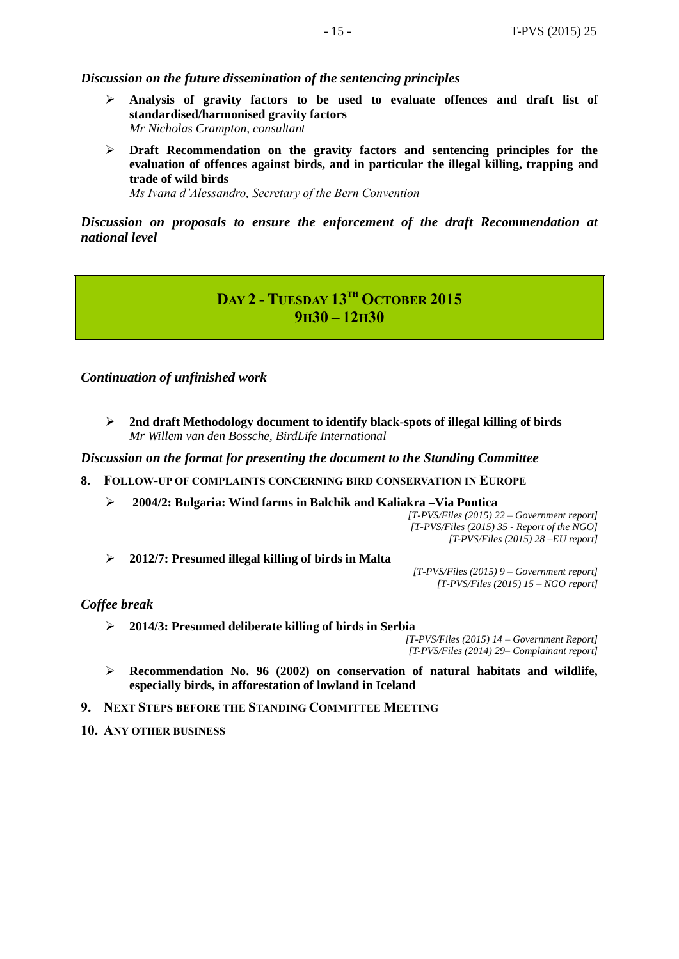*Discussion on the future dissemination of the sentencing principles*

- **Analysis of gravity factors to be used to evaluate offences and draft list of standardised/harmonised gravity factors**  *Mr Nicholas Crampton, consultant*
- **Draft Recommendation on the gravity factors and sentencing principles for the evaluation of offences against birds, and in particular the illegal killing, trapping and trade of wild birds**

*Ms Ivana d'Alessandro, Secretary of the Bern Convention*

*Discussion on proposals to ensure the enforcement of the draft Recommendation at national level*

# **DAY 2 - TUESDAY 13TH OCTOBER 2015 9H30 – 12H30**

# *Continuation of unfinished work*

 **2nd draft Methodology document to identify black-spots of illegal killing of birds** *Mr Willem van den Bossche, BirdLife International*

#### *Discussion on the format for presenting the document to the Standing Committee*

- **8. FOLLOW-UP OF COMPLAINTS CONCERNING BIRD CONSERVATION IN EUROPE**
	- **2004/2: Bulgaria: Wind farms in Balchik and Kaliakra –Via Pontica**

*[T-PVS/Files (2015) 22 – Government report] [T-PVS/Files (2015) 35 - Report of the NGO] [T-PVS/Files (2015) 28 –EU report]*

**2012/7: Presumed illegal killing of birds in Malta** 

*[T-PVS/Files (2015) 9 – Government report] [T-PVS/Files (2015) 15 – NGO report]*

### *Coffee break*

**2014/3: Presumed deliberate killing of birds in Serbia**

*[T-PVS/Files (2015) 14 – Government Report] [T-PVS/Files (2014) 29– Complainant report]*

- **Recommendation No. 96 (2002) on conservation of natural habitats and wildlife, especially birds, in afforestation of lowland in Iceland**
- **9. NEXT STEPS BEFORE THE STANDING COMMITTEE MEETING**
- **10. ANY OTHER BUSINESS**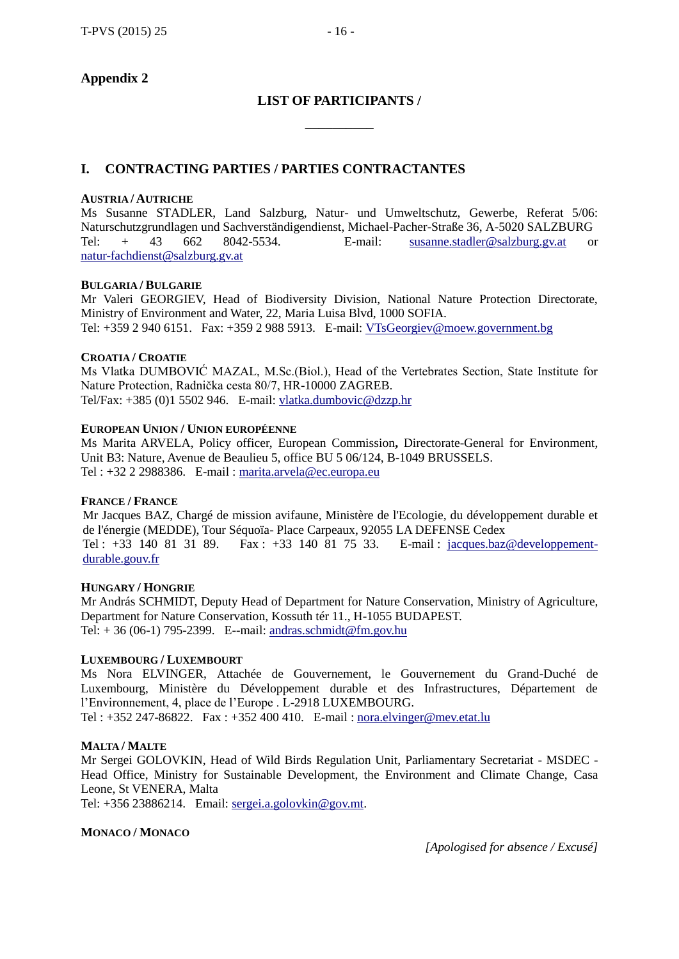# **Appendix 2**

# **LIST OF PARTICIPANTS /**

**\_\_\_\_\_\_\_\_\_\_**

# **I. CONTRACTING PARTIES / PARTIES CONTRACTANTES**

#### **AUSTRIA / AUTRICHE**

Ms Susanne STADLER, Land Salzburg, Natur- und Umweltschutz, Gewerbe, Referat 5/06: Naturschutzgrundlagen und Sachverständigendienst, Michael-Pacher-Straße 36, A-5020 SALZBURG Tel: + 43 662 8042-5534. E-mail: [susanne.stadler@salzburg.gv.at](mailto:susanne.stadler@salzburg.gv.at) or [natur-fachdienst@salzburg.gv.at](mailto:naturfachdienst@salzburg.gv.at)

#### **BULGARIA / BULGARIE**

Mr Valeri GEORGIEV, Head of Biodiversity Division, National Nature Protection Directorate, Ministry of Environment and Water, 22, Maria Luisa Blvd, 1000 SOFIA. Tel: +359 2 940 6151. Fax: +359 2 988 5913. E-mail: [VTsGeorgiev@moew.government.bg](mailto:VTsGeorgiev@moew.government.bg)

#### **CROATIA / CROATIE**

Ms Vlatka DUMBOVIĆ MAZAL, M.Sc.(Biol.), Head of the Vertebrates Section, State Institute for Nature Protection, Radnička cesta 80/7, HR-10000 ZAGREB. Tel/Fax: +385 (0)1 5502 946. E-mail[: vlatka.dumbovic@dzzp.hr](mailto:vlatka.dumbovic@dzzp.hr)

#### **EUROPEAN UNION / UNION EUROPÉENNE**

Ms Marita ARVELA, Policy officer, European Commission**,** Directorate-General for Environment, Unit B3: Nature, Avenue de Beaulieu 5, office BU 5 06/124, B-1049 BRUSSELS. Tel : +32 2 2988386. E-mail : [marita.arvela@ec.europa.eu](mailto:marita.arvela@ec.europa.eu)

#### **FRANCE / FRANCE**

Mr Jacques BAZ, Chargé de mission avifaune, Ministère de l'Ecologie, du développement durable et de l'énergie (MEDDE), Tour Séquoïa- Place Carpeaux, 92055 LA DEFENSE Cedex Tel : +33 140 81 31 89. Fax : +33 140 81 75 33. E-mail : [jacques.baz@developpement](mailto:jacques.baz@developpement-durable.gouv.fr)[durable.gouv.fr](mailto:jacques.baz@developpement-durable.gouv.fr)

#### **HUNGARY / HONGRIE**

Mr András SCHMIDT, Deputy Head of Department for Nature Conservation, Ministry of Agriculture, Department for Nature Conservation, Kossuth tér 11., H-1055 BUDAPEST. Tel: + 36 (06-1) 795-2399. E--mail: [andras.schmidt@fm.gov.hu](mailto:andras.schmidt@fm.gov.hu)

#### **LUXEMBOURG / LUXEMBOURT**

Ms Nora ELVINGER, Attachée de Gouvernement, le Gouvernement du Grand-Duché de Luxembourg, Ministère du Développement durable et des Infrastructures, Département de l'Environnement, 4, place de l'Europe . L-2918 LUXEMBOURG. Tel : +352 247-86822. Fax : +352 400 410. E-mail : [nora.elvinger@mev.etat.lu](mailto:nora.elvinger@mev.etat.lu)

#### **MALTA / MALTE**

Mr Sergei GOLOVKIN, Head of Wild Birds Regulation Unit, Parliamentary Secretariat - MSDEC - Head Office, Ministry for Sustainable Development, the Environment and Climate Change, Casa Leone, St VENERA, Malta

Tel: +356 23886214. Email: [sergei.a.golovkin@gov.mt.](mailto:sergei.a.golovkin@gov.mt)

#### **MONACO / MONACO**

*[Apologised for absence / Excusé]*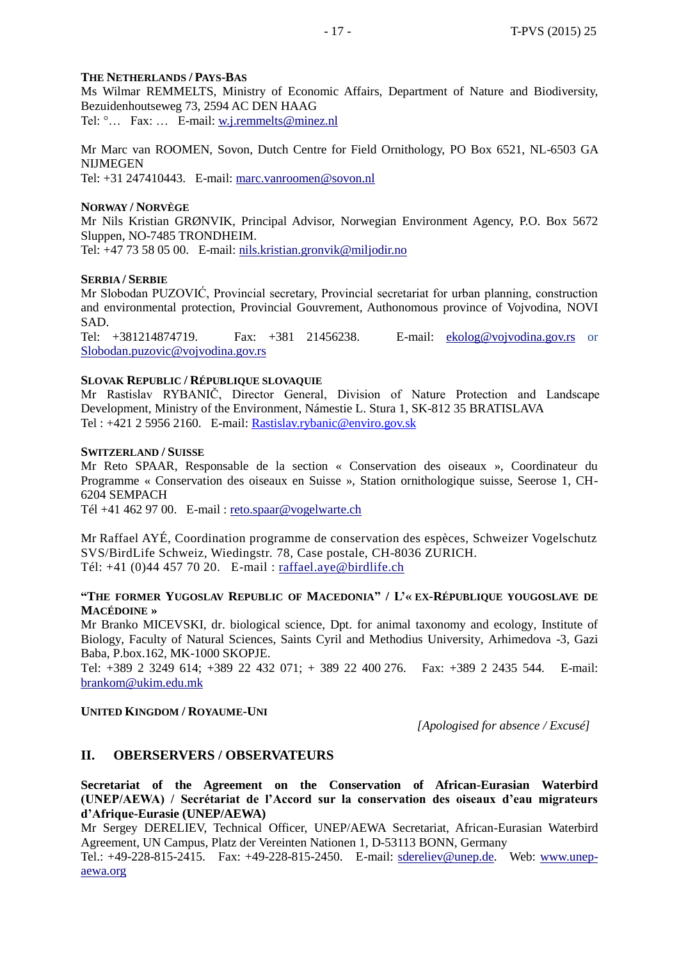#### **THE NETHERLANDS / PAYS-BAS**

Ms Wilmar REMMELTS, Ministry of Economic Affairs, Department of Nature and Biodiversity, Bezuidenhoutseweg 73, 2594 AC DEN HAAG Tel: °… Fax: … E-mail: [w.j.remmelts@minez.nl](mailto:w.j.remmelts@minez.nl)

Mr Marc van ROOMEN, Sovon, Dutch Centre for Field Ornithology, PO Box 6521, NL-6503 GA NIJMEGEN

Tel: +31 247410443. E-mail: [marc.vanroomen@sovon.nl](mailto:marc.vanroomen@sovon.nl)

#### **NORWAY / NORVÈGE**

Mr Nils Kristian GRØNVIK, Principal Advisor, Norwegian Environment Agency, P.O. Box 5672 Sluppen, NO-7485 TRONDHEIM.

Tel: +47 73 58 05 00. E-mail: [nils.kristian.gronvik@miljodir.no](mailto:nils.kristian.gronvik@miljodir.no)

#### **SERBIA / SERBIE**

Mr Slobodan PUZOVIĆ, Provincial secretary, Provincial secretariat for urban planning, construction and environmental protection, Provincial Gouvrement, Authonomous province of Vojvodina, NOVI SAD.

Tel: +381214874719. Fax: +381 21456238. E-mail: [ekolog@vojvodina.gov.rs](mailto:ekolog@vojvodina.gov.rs%3c) or [Slobodan.puzovic@vojvodina.gov.rs](mailto:Slobodan.puzovic@vojvodina.gov.rs)

#### **SLOVAK REPUBLIC / RÉPUBLIQUE SLOVAQUIE**

Mr Rastislav RYBANIČ, Director General, Division of Nature Protection and Landscape Development, Ministry of the Environment, Námestie L. Stura 1, SK-812 35 BRATISLAVA Tel : +421 2 5956 2160. E-mail: [Rastislav.rybanic@enviro.gov.sk](mailto:Rastislav.rybanic@enviro.gov.sk)

#### **SWITZERLAND / SUISSE**

Mr Reto SPAAR, Responsable de la section « Conservation des oiseaux », Coordinateur du Programme « Conservation des oiseaux en Suisse », Station ornithologique suisse, Seerose 1, CH-6204 SEMPACH

Tél +41 462 97 00. E-mail : [reto.spaar@vogelwarte.ch](mailto:reto.spaar@vogelwarte.ch)

Mr Raffael AYÉ, Coordination programme de conservation des espèces, Schweizer Vogelschutz SVS/BirdLife Schweiz, Wiedingstr. 78, Case postale, CH-8036 ZURICH. Tél: +41 (0)44 457 70 20. E-mail : [raffael.aye@birdlife.ch](mailto:raffael.aye@birdlife.ch)

#### **"THE FORMER YUGOSLAV REPUBLIC OF MACEDONIA" / L'« EX-RÉPUBLIQUE YOUGOSLAVE DE MACÉDOINE »**

Mr Branko MICEVSKI, dr. biological science, Dpt. for animal taxonomy and ecology, Institute of Biology, Faculty of Natural Sciences, Saints Cyril and Methodius University, Arhimedova -3, Gazi Baba, P.box.162, MK-1000 SKOPJE.

Tel: +389 2 3249 614; +389 22 432 071; + 389 22 400 276. Fax: +389 2 2435 544. E-mail: [brankom@ukim.edu.mk](mailto:brankom@ukim.edu.mk)

#### **UNITED KINGDOM / ROYAUME-UNI**

*[Apologised for absence / Excusé]*

### **II. OBERSERVERS / OBSERVATEURS**

**Secretariat of the Agreement on the Conservation of African-Eurasian Waterbird (UNEP/AEWA) / Secrétariat de l'Accord sur la conservation des oiseaux d'eau migrateurs d'Afrique-Eurasie (UNEP/AEWA)**

Mr Sergey DERELIEV, Technical Officer, UNEP/AEWA Secretariat, African-Eurasian Waterbird Agreement, UN Campus, Platz der Vereinten Nationen 1, D-53113 BONN, Germany

Tel.: +49-228-815-2415. Fax: +49-228-815-2450. E-mail: [sdereliev@unep.de.](mailto:sdereliev@unep.de) Web: [www.unep](http://www.unep-aewa.org/)[aewa.org](http://www.unep-aewa.org/)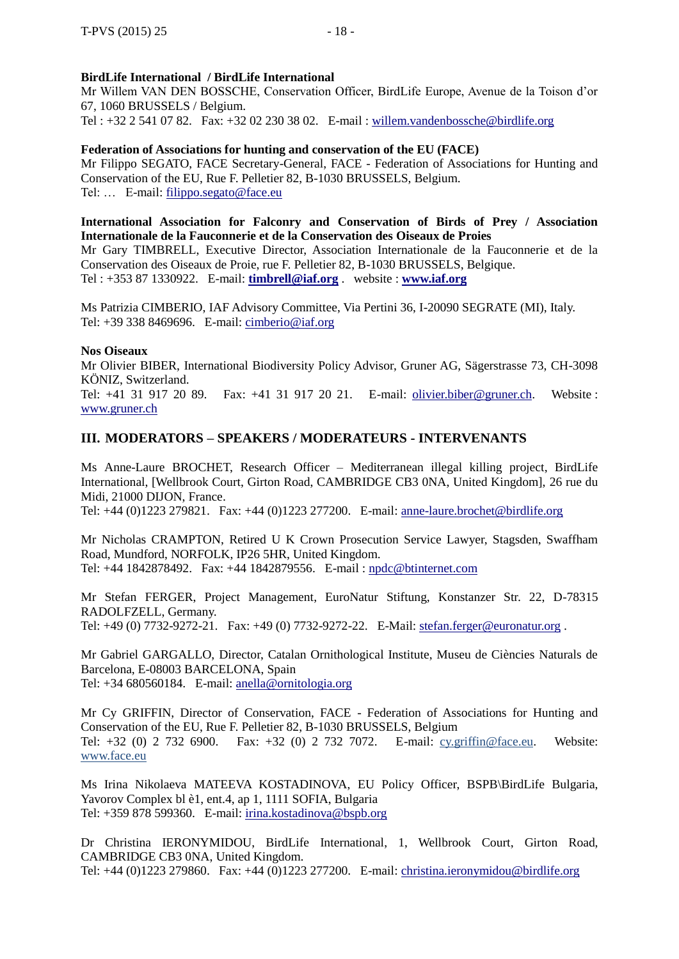Mr Willem VAN DEN BOSSCHE, Conservation Officer, BirdLife Europe, Avenue de la Toison d'or 67, 1060 BRUSSELS / Belgium. Tel : +32 2 541 07 82. Fax: +32 02 230 38 02. E-mail : [willem.vandenbossche@birdlife.org](mailto:willem.vandenbossche@birdlife.org)

#### **Federation of Associations for hunting and conservation of the EU (FACE)**

Mr Filippo SEGATO, FACE Secretary-General, FACE - Federation of Associations for Hunting and Conservation of the EU, Rue F. Pelletier 82, B-1030 BRUSSELS, Belgium. Tel: … E-mail: [filippo.segato@face.eu](mailto:filippo.segato@face.eu)

#### **International Association for Falconry and Conservation of Birds of Prey / Association Internationale de la Fauconnerie et de la Conservation des Oiseaux de Proies**

Mr Gary TIMBRELL, Executive Director, Association Internationale de la Fauconnerie et de la Conservation des Oiseaux de Proie, rue F. Pelletier 82, B-1030 BRUSSELS, Belgique. Tel : +353 87 1330922. E-mail: **[timbrell@iaf.org](mailto:timbrell@iaf.org)** . website : **[www.iaf.org](http://www.iaf.org/)**

Ms Patrizia CIMBERIO, IAF Advisory Committee, Via Pertini 36, I-20090 SEGRATE (MI), Italy. Tel: +39 338 8469696. E-mail: [cimberio@iaf.org](mailto:cimberio@iaf.org)

#### **Nos Oiseaux**

Mr Olivier BIBER, International Biodiversity Policy Advisor, Gruner AG, Sägerstrasse 73, CH-3098 KÖNIZ, Switzerland.

Tel: +41 31 917 20 89. Fax: +41 31 917 20 21. E-mail: [olivier.biber@gruner.ch.](mailto:olivier.biber@gruner.ch) Website : [www.gruner.ch](http://www.gruner.ch/)

#### **III. MODERATORS – SPEAKERS / MODERATEURS - INTERVENANTS**

Ms Anne-Laure BROCHET, Research Officer – Mediterranean illegal killing project, BirdLife International, [Wellbrook Court, Girton Road, CAMBRIDGE CB3 0NA, United Kingdom], 26 rue du Midi, 21000 DIJON, France.

Tel: +44 (0)1223 279821. Fax: +44 (0)1223 277200. E-mail: [anne-laure.brochet@birdlife.org](mailto:anne-laure.brochet@birdlife.org)

Mr Nicholas CRAMPTON, Retired U K Crown Prosecution Service Lawyer, Stagsden, Swaffham Road, Mundford, NORFOLK, IP26 5HR, United Kingdom. Tel: +44 1842878492. Fax: +44 1842879556. E-mail : [npdc@btinternet.com](mailto:npdc@btinternet.com)

Mr Stefan FERGER, Project Management, EuroNatur Stiftung, Konstanzer Str. 22, D-78315 RADOLFZELL, Germany. Tel: +49 (0) 7732-9272-21. Fax: +49 (0) 7732-9272-22. E-Mail[: stefan.ferger@euronatur.org](mailto:stefan.ferger@euronatur.org) .

Mr Gabriel GARGALLO, Director, Catalan Ornithological Institute, Museu de Ciències Naturals de Barcelona, E-08003 BARCELONA, Spain Tel: +34 680560184. E-mail: [anella@ornitologia.org](mailto:anella@ornitologia.org)

Mr Cy GRIFFIN, Director of Conservation, FACE - Federation of Associations for Hunting and Conservation of the EU, Rue F. Pelletier 82, B-1030 BRUSSELS, Belgium Tel: +32 (0) 2 732 6900. Fax: +32 (0) 2 732 7072. E-mail: [cy.griffin@face.eu.](mailto:cy.griffin@face.eu) Website: [www.face.eu](http://www.face.eu/)

Ms Irina Nikolaeva MATEEVA KOSTADINOVA, EU Policy Officer, BSPB\BirdLife Bulgaria, Yavorov Complex bl è1, ent.4, ap 1, 1111 SOFIA, Bulgaria Tel: +359 878 599360. E-mail: [irina.kostadinova@bspb.org](mailto:irina.kostadinova@bspb.org)

Dr Christina IERONYMIDOU, BirdLife International, 1, Wellbrook Court, Girton Road, CAMBRIDGE CB3 0NA, United Kingdom. Tel: +44 (0)1223 279860. Fax: +44 (0)1223 277200. E-mail: [christina.ieronymidou@birdlife.org](mailto:christina.ieronymidou@birdlife.org)